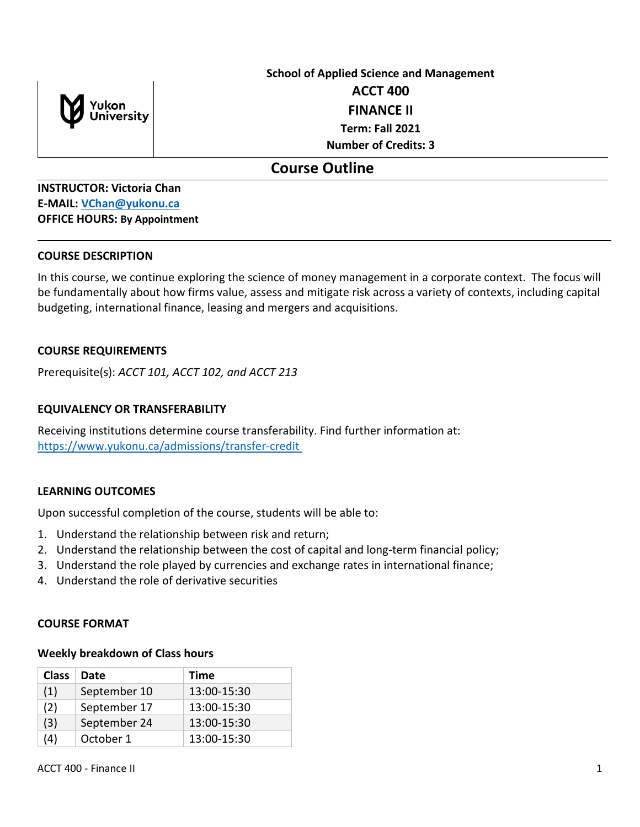

# **School of Applied Science and Management ACCT 400 FINANCE II Term: Fall 2021 Number of Credits: 3**

## **Course Outline**

**INSTRUCTOR: Victoria Chan E-MAIL: [VChan@yukonu.ca](mailto:VChan@yukonu.ca) OFFICE HOURS: By Appointment**

#### **COURSE DESCRIPTION**

In this course, we continue exploring the science of money management in a corporate context. The focus will be fundamentally about how firms value, assess and mitigate risk across a variety of contexts, including capital budgeting, international finance, leasing and mergers and acquisitions.

## **COURSE REQUIREMENTS**

Prerequisite(s): *ACCT 101, ACCT 102, and ACCT 213*

#### **EQUIVALENCY OR TRANSFERABILITY**

Receiving institutions determine course transferability. Find further information at: [https://www.yukonu.ca/admissions/transfer-credit](https://www.yukonu.ca/admissions/transfer-credit%C2%A0)

#### **LEARNING OUTCOMES**

Upon successful completion of the course, students will be able to:

- 1. Understand the relationship between risk and return;
- 2. Understand the relationship between the cost of capital and long-term financial policy;
- 3. Understand the role played by currencies and exchange rates in international finance;
- 4. Understand the role of derivative securities

#### **COURSE FORMAT**

#### **Weekly breakdown of Class hours**

| <b>Class</b> | Date         | Time        |
|--------------|--------------|-------------|
| (1)          | September 10 | 13:00-15:30 |
| (2)          | September 17 | 13:00-15:30 |
| (3)          | September 24 | 13:00-15:30 |
| 4)           | October 1    | 13:00-15:30 |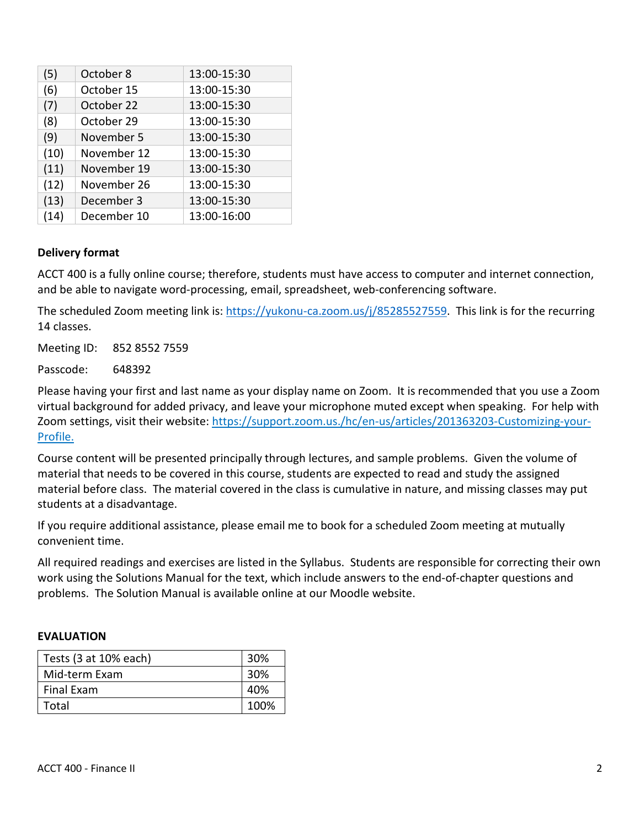| (5)  | October 8   | 13:00-15:30 |  |
|------|-------------|-------------|--|
| (6)  | October 15  | 13:00-15:30 |  |
| (7)  | October 22  | 13:00-15:30 |  |
| (8)  | October 29  | 13:00-15:30 |  |
| (9)  | November 5  | 13:00-15:30 |  |
| (10) | November 12 | 13:00-15:30 |  |
| (11) | November 19 | 13:00-15:30 |  |
| (12) | November 26 | 13:00-15:30 |  |
| (13) | December 3  | 13:00-15:30 |  |
| (14) | December 10 | 13:00-16:00 |  |

#### **Delivery format**

ACCT 400 is a fully online course; therefore, students must have access to computer and internet connection, and be able to navigate word-processing, email, spreadsheet, web-conferencing software.

The scheduled Zoom meeting link is: [https://yukonu-ca.zoom.us/j/85285527559.](https://yukonu-ca.zoom.us/j/85285527559) This link is for the recurring 14 classes.

Meeting ID: 852 8552 7559

Passcode: 648392

Please having your first and last name as your display name on Zoom. It is recommended that you use a Zoom virtual background for added privacy, and leave your microphone muted except when speaking. For help with Zoom settings, visit their website: https://support.zoom.us./hc/en-us/articles/201363203-Customizing-your-Profile.

Course content will be presented principally through lectures, and sample problems. Given the volume of material that needs to be covered in this course, students are expected to read and study the assigned material before class. The material covered in the class is cumulative in nature, and missing classes may put students at a disadvantage.

If you require additional assistance, please email me to book for a scheduled Zoom meeting at mutually convenient time.

All required readings and exercises are listed in the Syllabus. Students are responsible for correcting their own work using the Solutions Manual for the text, which include answers to the end-of-chapter questions and problems. The Solution Manual is available online at our Moodle website.

#### **EVALUATION**

| Tests $(3 at 10\%$ each) | 30%  |
|--------------------------|------|
| Mid-term Exam            | 30%  |
| Final Exam               | 40%  |
| Total                    | 100% |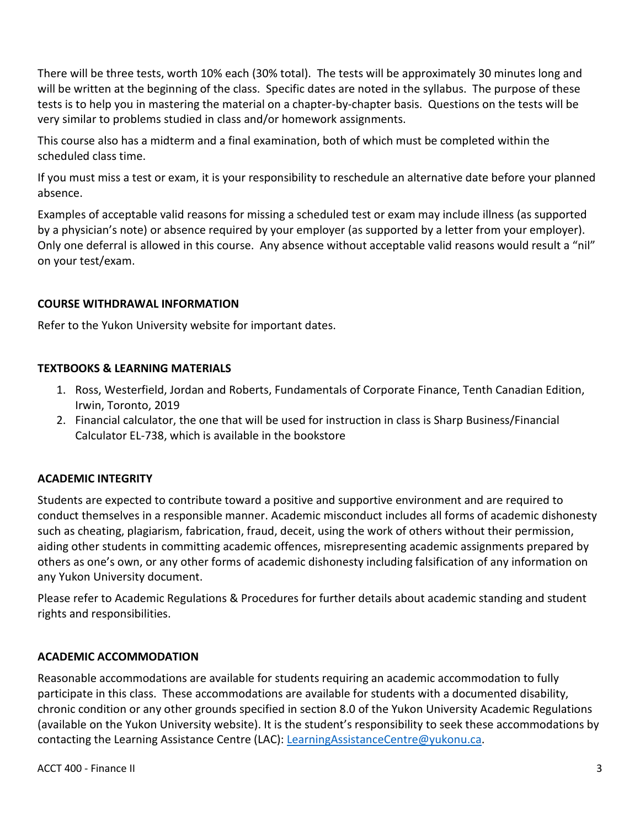There will be three tests, worth 10% each (30% total). The tests will be approximately 30 minutes long and will be written at the beginning of the class. Specific dates are noted in the syllabus. The purpose of these tests is to help you in mastering the material on a chapter-by-chapter basis. Questions on the tests will be very similar to problems studied in class and/or homework assignments.

This course also has a midterm and a final examination, both of which must be completed within the scheduled class time.

If you must miss a test or exam, it is your responsibility to reschedule an alternative date before your planned absence.

Examples of acceptable valid reasons for missing a scheduled test or exam may include illness (as supported by a physician's note) or absence required by your employer (as supported by a letter from your employer). Only one deferral is allowed in this course. Any absence without acceptable valid reasons would result a "nil" on your test/exam.

## **COURSE WITHDRAWAL INFORMATION**

Refer to the Yukon University website for important dates.

#### **TEXTBOOKS & LEARNING MATERIALS**

- 1. Ross, Westerfield, Jordan and Roberts, Fundamentals of Corporate Finance, Tenth Canadian Edition, Irwin, Toronto, 2019
- 2. Financial calculator, the one that will be used for instruction in class is Sharp Business/Financial Calculator EL-738, which is available in the bookstore

## **ACADEMIC INTEGRITY**

Students are expected to contribute toward a positive and supportive environment and are required to conduct themselves in a responsible manner. Academic misconduct includes all forms of academic dishonesty such as cheating, plagiarism, fabrication, fraud, deceit, using the work of others without their permission, aiding other students in committing academic offences, misrepresenting academic assignments prepared by others as one's own, or any other forms of academic dishonesty including falsification of any information on any Yukon University document.

Please refer to Academic Regulations & Procedures for further details about academic standing and student rights and responsibilities.

## **ACADEMIC ACCOMMODATION**

Reasonable accommodations are available for students requiring an academic accommodation to fully participate in this class. These accommodations are available for students with a documented disability, chronic condition or any other grounds specified in section 8.0 of the Yukon University Academic Regulations (available on the Yukon University website). It is the student's responsibility to seek these accommodations by contacting the Learning Assistance Centre (LAC): [LearningAssistanceCentre@yukonu.ca.](mailto:LearningAssistanceCentre@yukonu.ca)